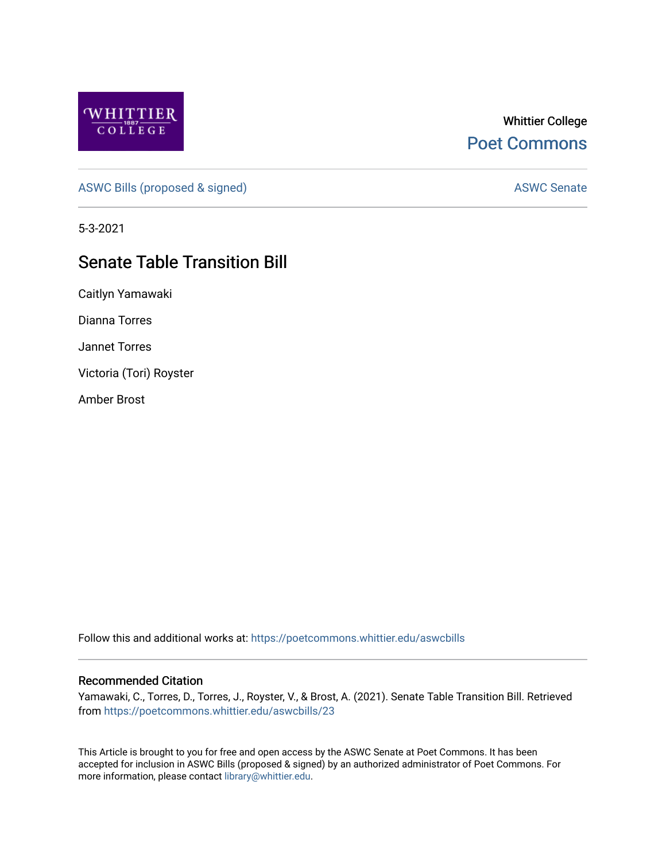

## Whittier College [Poet Commons](https://poetcommons.whittier.edu/)

[ASWC Bills \(proposed & signed\)](https://poetcommons.whittier.edu/aswcbills) ASWC Senate

5-3-2021

# Senate Table Transition Bill

Caitlyn Yamawaki

Dianna Torres

Jannet Torres

Victoria (Tori) Royster

Amber Brost

Follow this and additional works at: [https://poetcommons.whittier.edu/aswcbills](https://poetcommons.whittier.edu/aswcbills?utm_source=poetcommons.whittier.edu%2Faswcbills%2F23&utm_medium=PDF&utm_campaign=PDFCoverPages) 

### Recommended Citation

Yamawaki, C., Torres, D., Torres, J., Royster, V., & Brost, A. (2021). Senate Table Transition Bill. Retrieved from [https://poetcommons.whittier.edu/aswcbills/23](https://poetcommons.whittier.edu/aswcbills/23?utm_source=poetcommons.whittier.edu%2Faswcbills%2F23&utm_medium=PDF&utm_campaign=PDFCoverPages) 

This Article is brought to you for free and open access by the ASWC Senate at Poet Commons. It has been accepted for inclusion in ASWC Bills (proposed & signed) by an authorized administrator of Poet Commons. For more information, please contact [library@whittier.edu.](mailto:library@whittier.edu)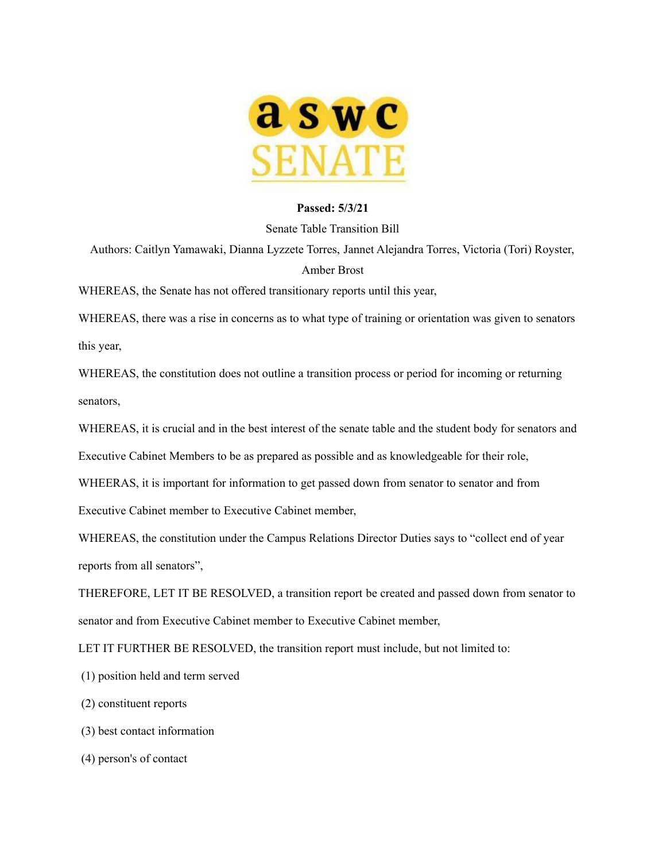

### **Passed: 5/3/21**

#### Senate Table Transition Bill

Authors: Caitlyn Yamawaki, Dianna Lyzzete Torres, Jannet Alejandra Torres, Victoria (Tori) Royster, Amber Brost

WHEREAS, the Senate has not offered transitionary reports until this year,

WHEREAS, there was a rise in concerns as to what type of training or orientation was given to senators this year,

WHEREAS, the constitution does not outline a transition process or period for incoming or returning senators,

WHEREAS, it is crucial and in the best interest of the senate table and the student body for senators and

Executive Cabinet Members to be as prepared as possible and as knowledgeable for their role,

WHEERAS, it is important for information to get passed down from senator to senator and from

Executive Cabinet member to Executive Cabinet member,

WHEREAS, the constitution under the Campus Relations Director Duties says to "collect end of year reports from all senators",

THEREFORE, LET IT BE RESOLVED, a transition report be created and passed down from senator to senator and from Executive Cabinet member to Executive Cabinet member,

LET IT FURTHER BE RESOLVED, the transition report must include, but not limited to:

(1) position held and term served

(2) constituent reports

(3) best contact information

(4) person's of contact